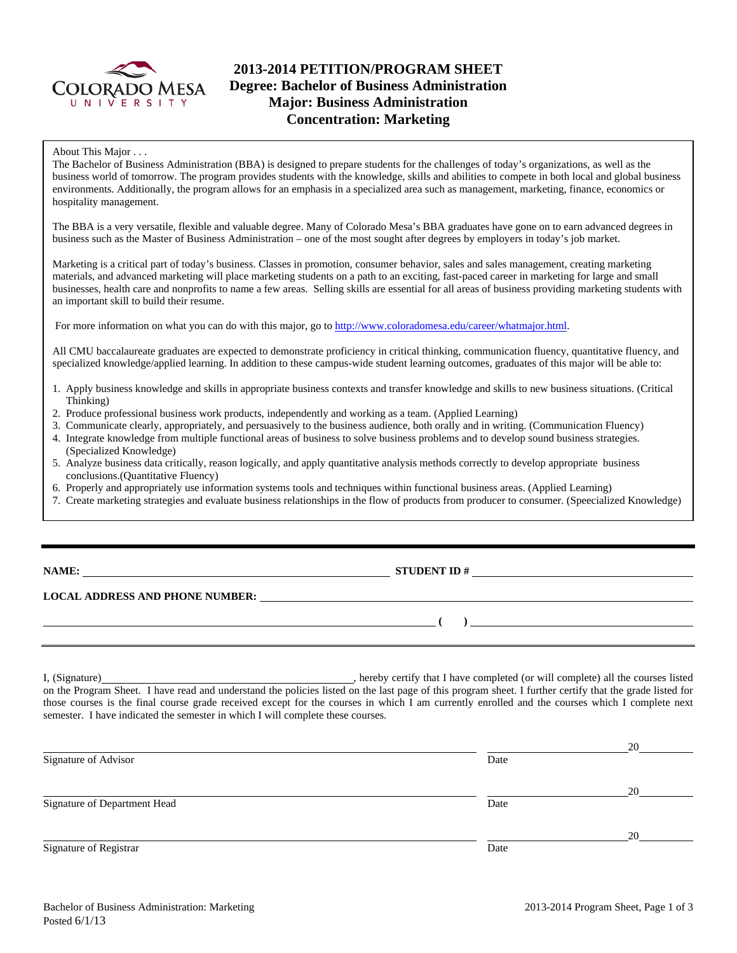

# **2013-2014 PETITION/PROGRAM SHEET Degree: Bachelor of Business Administration Major: Business Administration Concentration: Marketing**

#### About This Major . . .

The Bachelor of Business Administration (BBA) is designed to prepare students for the challenges of today's organizations, as well as the business world of tomorrow. The program provides students with the knowledge, skills and abilities to compete in both local and global business environments. Additionally, the program allows for an emphasis in a specialized area such as management, marketing, finance, economics or hospitality management.

The BBA is a very versatile, flexible and valuable degree. Many of Colorado Mesa's BBA graduates have gone on to earn advanced degrees in business such as the Master of Business Administration – one of the most sought after degrees by employers in today's job market.

Marketing is a critical part of today's business. Classes in promotion, consumer behavior, sales and sales management, creating marketing materials, and advanced marketing will place marketing students on a path to an exciting, fast-paced career in marketing for large and small businesses, health care and nonprofits to name a few areas. Selling skills are essential for all areas of business providing marketing students with an important skill to build their resume.

For more information on what you can do with this major, go to http://www.coloradomesa.edu/career/whatmajor.html.

All CMU baccalaureate graduates are expected to demonstrate proficiency in critical thinking, communication fluency, quantitative fluency, and specialized knowledge/applied learning. In addition to these campus-wide student learning outcomes, graduates of this major will be able to:

- 1. Apply business knowledge and skills in appropriate business contexts and transfer knowledge and skills to new business situations. (Critical Thinking)
- 2. Produce professional business work products, independently and working as a team. (Applied Learning)
- 3. Communicate clearly, appropriately, and persuasively to the business audience, both orally and in writing. (Communication Fluency)
- 4. Integrate knowledge from multiple functional areas of business to solve business problems and to develop sound business strategies. (Specialized Knowledge)
- 5. Analyze business data critically, reason logically, and apply quantitative analysis methods correctly to develop appropriate business conclusions.(Quantitative Fluency)
- 6. Properly and appropriately use information systems tools and techniques within functional business areas. (Applied Learning)
- 7. Create marketing strategies and evaluate business relationships in the flow of products from producer to consumer. (Speecialized Knowledge)

# **STUDENT ID #**

 **(** ) <u> **(** ) **) (** ) **) (** ) **) (** ) **(** ) **(** ) **(** ) **(** ) **(** ) **(** ) **(** ) **(** ) **(** ) **(** ) **(** ) **(** ) **(** ) **(** ) **(** ) **(** ) **(** ) **(** ) **(** ) **(** ) **(** ) **(** ) **(** ) **(** ) **(** ) **(** ) **(** ) **(** ) **(** ) **(**</u>

## **LOCAL ADDRESS AND PHONE NUMBER:**

I, (Signature) , hereby certify that I have completed (or will complete) all the courses listed on the Program Sheet. I have read and understand the policies listed on the last page of this program sheet. I further certify that the grade listed for those courses is the final course grade received except for the courses in which I am currently enrolled and the courses which I complete next semester. I have indicated the semester in which I will complete these courses.

|                              |      | 20 |
|------------------------------|------|----|
| Signature of Advisor         | Date |    |
|                              |      | 20 |
| Signature of Department Head | Date |    |
|                              |      | 20 |
| Signature of Registrar       | Date |    |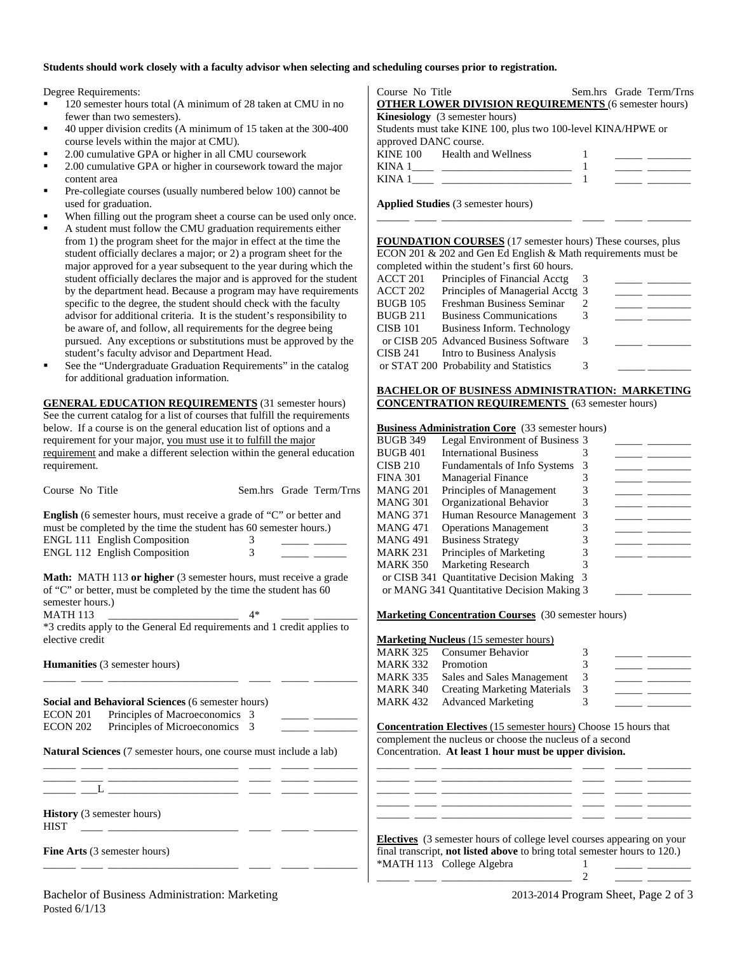#### **Students should work closely with a faculty advisor when selecting and scheduling courses prior to registration.**

Degree Requirements:

- 120 semester hours total (A minimum of 28 taken at CMU in no fewer than two semesters).
- 40 upper division credits (A minimum of 15 taken at the 300-400 course levels within the major at CMU).
- 2.00 cumulative GPA or higher in all CMU coursework
- 2.00 cumulative GPA or higher in coursework toward the major content area
- Pre-collegiate courses (usually numbered below 100) cannot be used for graduation.
- When filling out the program sheet a course can be used only once.
- A student must follow the CMU graduation requirements either from 1) the program sheet for the major in effect at the time the student officially declares a major; or 2) a program sheet for the major approved for a year subsequent to the year during which the student officially declares the major and is approved for the student by the department head. Because a program may have requirements specific to the degree, the student should check with the faculty advisor for additional criteria. It is the student's responsibility to be aware of, and follow, all requirements for the degree being pursued. Any exceptions or substitutions must be approved by the student's faculty advisor and Department Head.
- See the "Undergraduate Graduation Requirements" in the catalog for additional graduation information.

**GENERAL EDUCATION REQUIREMENTS** (31 semester hours) See the current catalog for a list of courses that fulfill the requirements below. If a course is on the general education list of options and a requirement for your major, you must use it to fulfill the major requirement and make a different selection within the general education requirement.

| Course No Title                                                                        | Sem.hrs Grade Term/Trns                                                     | ___<br><b>MANG 201</b><br>3<br>Principles of Management<br><u> 1989 - Andrea Station Books, american provident all</u>                                                                                                               |
|----------------------------------------------------------------------------------------|-----------------------------------------------------------------------------|--------------------------------------------------------------------------------------------------------------------------------------------------------------------------------------------------------------------------------------|
|                                                                                        |                                                                             | <b>MANG 301</b><br>Organizational Behavior<br>3                                                                                                                                                                                      |
|                                                                                        | <b>English</b> (6 semester hours, must receive a grade of "C" or better and | Human Resource Management 3<br><b>MANG 371</b><br>$\overline{\phantom{a}}$ and $\overline{\phantom{a}}$                                                                                                                              |
| must be completed by the time the student has 60 semester hours.)                      |                                                                             | <b>MANG 471</b><br><b>Operations Management</b><br>3<br>$\overline{\phantom{a}}$ and $\overline{\phantom{a}}$                                                                                                                        |
| ENGL 111 English Composition                                                           | 3                                                                           | <b>MANG 491</b><br><b>Business Strategy</b><br>3<br><u> 1999 - Jan Barbara Barat, prima prima prima prima prima prima prima prima prima prima prima prima prima prim</u>                                                             |
| <b>ENGL 112 English Composition</b>                                                    | 3                                                                           | Principles of Marketing<br>3<br><b>MARK 231</b><br>المستنقذ المناسب                                                                                                                                                                  |
|                                                                                        |                                                                             | Marketing Research<br><b>MARK 350</b>                                                                                                                                                                                                |
|                                                                                        | <b>Math:</b> MATH 113 or higher (3 semester hours, must receive a grade     | or CISB 341 Quantitative Decision Making 3                                                                                                                                                                                           |
| of "C" or better, must be completed by the time the student has 60<br>semester hours.) |                                                                             | or MANG 341 Quantitative Decision Making 3                                                                                                                                                                                           |
| <b>MATH 113</b>                                                                        | $4*$                                                                        | <b>Marketing Concentration Courses</b> (30 semester hours)                                                                                                                                                                           |
|                                                                                        | *3 credits apply to the General Ed requirements and 1 credit applies to     |                                                                                                                                                                                                                                      |
| elective credit                                                                        |                                                                             | <b>Marketing Nucleus</b> (15 semester hours)                                                                                                                                                                                         |
|                                                                                        |                                                                             | <b>MARK 325</b><br>Consumer Behavior<br>3                                                                                                                                                                                            |
| <b>Humanities</b> (3 semester hours)                                                   |                                                                             | 3<br><b>MARK 332</b><br>Promotion                                                                                                                                                                                                    |
|                                                                                        |                                                                             | Sales and Sales Management<br><b>MARK 335</b><br>3<br>$\overline{\phantom{a}}$ and $\overline{\phantom{a}}$                                                                                                                          |
|                                                                                        |                                                                             | <b>MARK 340</b><br><b>Creating Marketing Materials</b><br>3                                                                                                                                                                          |
| Social and Behavioral Sciences (6 semester hours)                                      |                                                                             | <b>Advanced Marketing</b><br><b>MARK 432</b><br>3                                                                                                                                                                                    |
| Principles of Macroeconomics 3<br>ECON 201                                             |                                                                             |                                                                                                                                                                                                                                      |
| Principles of Microeconomics 3<br><b>ECON 202</b>                                      |                                                                             | <b>Concentration Electives (15 semester hours)</b> Choose 15 hours that                                                                                                                                                              |
|                                                                                        |                                                                             | complement the nucleus or choose the nucleus of a second                                                                                                                                                                             |
| <b>Natural Sciences</b> (7 semester hours, one course must include a lab)              |                                                                             | Concentration. At least 1 hour must be upper division.                                                                                                                                                                               |
|                                                                                        |                                                                             |                                                                                                                                                                                                                                      |
|                                                                                        |                                                                             |                                                                                                                                                                                                                                      |
|                                                                                        | ______L _________________ ____ _____ ____                                   |                                                                                                                                                                                                                                      |
|                                                                                        |                                                                             | <u>and the company of the company of the company of the company of the company of the company of the company of the company of the company of the company of the company of the company of the company of the company of the com</u> |
| <b>History</b> (3 semester hours)<br><b>HIST</b>                                       |                                                                             |                                                                                                                                                                                                                                      |
|                                                                                        |                                                                             | <b>Electives</b> (3 semester hours of college level courses appearing on your                                                                                                                                                        |
| Fine Arts (3 semester hours)                                                           |                                                                             | final transcript, <b>not listed above</b> to bring total semester hours to 120.)                                                                                                                                                     |
|                                                                                        |                                                                             | *MATH 113 College Algebra                                                                                                                                                                                                            |
|                                                                                        |                                                                             | $\overline{c}$                                                                                                                                                                                                                       |
|                                                                                        |                                                                             |                                                                                                                                                                                                                                      |

Course No Title Sem.hrs Grade Term/Trns **OTHER LOWER DIVISION REQUIREMENTS** (6 semester hours) **Kinesiology** (3 semester hours) Students must take KINE 100, plus two 100-level KINA/HPWE or approved DANC course. KINE 100 Health and Wellness 1 \_\_\_\_\_ \_\_\_\_\_\_\_\_ KINA 1\_\_\_\_ \_\_\_\_\_\_\_\_\_\_\_\_\_\_\_\_\_\_\_\_\_\_\_\_ 1 \_\_\_\_\_ \_\_\_\_\_\_\_\_ KINA  $1 \qquad \qquad$   $\qquad \qquad$   $\qquad \qquad$   $\qquad \qquad$   $\qquad \qquad$   $\qquad \qquad$   $\qquad \qquad$   $\qquad \qquad$   $\qquad \qquad$   $\qquad \qquad$   $\qquad \qquad$   $\qquad \qquad$   $\qquad \qquad$   $\qquad \qquad$   $\qquad \qquad$   $\qquad \qquad$   $\qquad \qquad$   $\qquad \qquad$   $\qquad \qquad$   $\qquad \qquad$   $\qquad \qquad$   $\qquad \qquad$   $\qquad \qquad$   $\qquad \qquad$ 

**Applied Studies** (3 semester hours)

**FOUNDATION COURSES** (17 semester hours) These courses, plus ECON 201 & 202 and Gen Ed English & Math requirements must be completed within the student's first 60 hours.

\_\_\_\_\_\_ \_\_\_\_ \_\_\_\_\_\_\_\_\_\_\_\_\_\_\_\_\_\_\_\_\_\_\_\_ \_\_\_\_ \_\_\_\_\_ \_\_\_\_\_\_\_\_

|          | completed whilm the statistic state of hours. |   |  |
|----------|-----------------------------------------------|---|--|
| ACCT 201 | Principles of Financial Acctg                 |   |  |
| ACCT 202 | Principles of Managerial Acctg 3              |   |  |
| BUGB 105 | Freshman Business Seminar                     |   |  |
| BUGB 211 | <b>Business Communications</b>                |   |  |
| CISB 101 | Business Inform. Technology                   |   |  |
|          | or CISB 205 Advanced Business Software        | 3 |  |
| CISB 241 | Intro to Business Analysis                    |   |  |
|          | or STAT 200 Probability and Statistics        |   |  |
|          |                                               |   |  |

### **BACHELOR OF BUSINESS ADMINISTRATION: MARKETING CONCENTRATION REQUIREMENTS** (63 semester hours)

| <b>Business Administration Core</b> (33 semester hours) |  |
|---------------------------------------------------------|--|
|---------------------------------------------------------|--|

| <b>BUGB 349</b> | Legal Environment of Business 3            |   |  |
|-----------------|--------------------------------------------|---|--|
| <b>BUGB 401</b> | <b>International Business</b>              |   |  |
| <b>CISB 210</b> | <b>Fundamentals of Info Systems</b>        |   |  |
| <b>FINA 301</b> | <b>Managerial Finance</b>                  |   |  |
| <b>MANG 201</b> | Principles of Management                   |   |  |
| <b>MANG 301</b> | Organizational Behavior                    |   |  |
| <b>MANG 371</b> | Human Resource Management 3                |   |  |
| <b>MANG 471</b> | <b>Operations Management</b>               |   |  |
| <b>MANG 491</b> | <b>Business Strategy</b>                   |   |  |
| <b>MARK 231</b> | Principles of Marketing                    |   |  |
| <b>MARK 350</b> | <b>Marketing Research</b>                  |   |  |
|                 | or CISB 341 Quantitative Decision Making   | 3 |  |
|                 | or MANG 341 Quantitative Decision Making 3 |   |  |
|                 |                                            |   |  |

#### **Marketing (15 semester hours)**

|          | <b>MARK 325 Consumer Behavior</b>   |     |  |
|----------|-------------------------------------|-----|--|
| MARK 332 | Promotion                           |     |  |
| MARK 335 | Sales and Sales Management          | -3  |  |
| MARK 340 | <b>Creating Marketing Materials</b> | - 3 |  |
|          | <b>MARK 432</b> Advanced Marketing  |     |  |
|          |                                     |     |  |

| <b>Electives</b> (3 semester hours of college level courses appearing on your    |  |
|----------------------------------------------------------------------------------|--|
| final transcript, <b>not listed above</b> to bring total semester hours to 120.) |  |
| *MATH 113 College Algebra                                                        |  |

Bachelor of Business Administration: Marketing 2013-2014 Program Sheet, Page 2 of 3 Posted 6/1/13